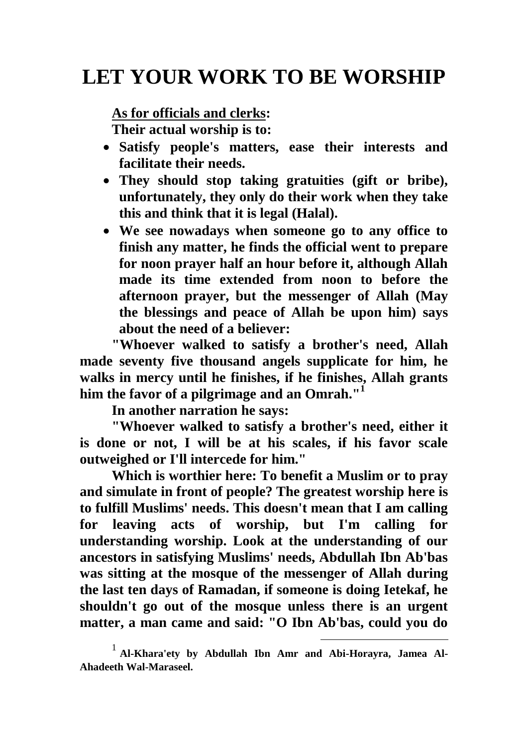## **LET YOUR WORK TO BE WORSHIP**

**As for officials and clerks:**

**Their actual worship is to:**

- **Satisfy people's matters, ease their interests and facilitate their needs.**
- **They should stop taking gratuities (gift or bribe), unfortunately, they only do their work when they take this and think that it is legal (Halal).**
- **We see nowadays when someone go to any office to finish any matter, he finds the official went to prepare for noon prayer half an hour before it, although Allah made its time extended from noon to before the afternoon prayer, but the messenger of Allah (May the blessings and peace of Allah be upon him) says about the need of a believer:**

**"Whoever walked to satisfy a brother's need, Allah made seventy five thousand angels supplicate for him, he walks in mercy until he finishes, if he finishes, Allah grants him the favor of a pilgrimage and an Omrah."<sup>1</sup>**

**In another narration he says:**

**"Whoever walked to satisfy a brother's need, either it is done or not, I will be at his scales, if his favor scale outweighed or I'll intercede for him."**

**Which is worthier here: To benefit a Muslim or to pray and simulate in front of people? The greatest worship here is to fulfill Muslims' needs. This doesn't mean that I am calling for leaving acts of worship, but I'm calling for understanding worship. Look at the understanding of our ancestors in satisfying Muslims' needs, Abdullah Ibn Ab'bas was sitting at the mosque of the messenger of Allah during the last ten days of Ramadan, if someone is doing Ietekaf, he shouldn't go out of the mosque unless there is an urgent matter, a man came and said: "O Ibn Ab'bas, could you do** 

1

<sup>1</sup> **Al-Khara'ety by Abdullah Ibn Amr and Abi-Horayra, Jamea Al-Ahadeeth Wal-Maraseel.**